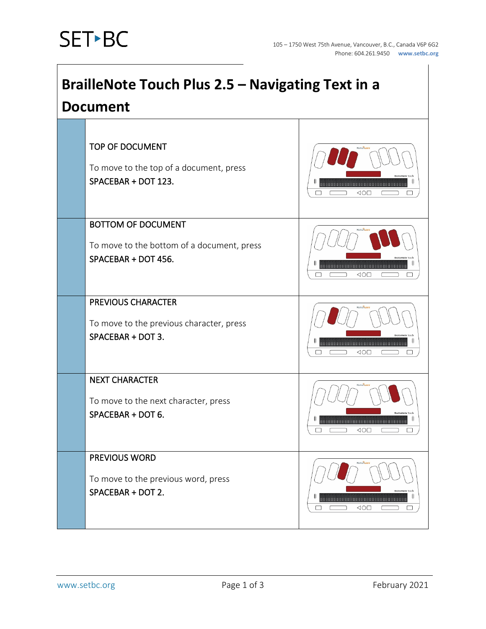| <b>BrailleNote Touch Plus 2.5 - Navigating Text in a</b><br><b>Document</b> |                                                                                                |                                                                                            |  |
|-----------------------------------------------------------------------------|------------------------------------------------------------------------------------------------|--------------------------------------------------------------------------------------------|--|
|                                                                             | TOP OF DOCUMENT<br>To move to the top of a document, press<br>SPACEBAR + DOT 123.              | $\triangle$ O $\square$                                                                    |  |
|                                                                             | <b>BOTTOM OF DOCUMENT</b><br>To move to the bottom of a document, press<br>SPACEBAR + DOT 456. | <b></b><br>$\triangleleft$                                                                 |  |
|                                                                             | <b>PREVIOUS CHARACTER</b><br>To move to the previous character, press<br>SPACEBAR + DOT 3.     | <b>BrailleNote Touck</b><br>--------------------------------------<br>$\triangle$ O $\Box$ |  |
|                                                                             | <b>NEXT CHARACTER</b><br>To move to the next character, press<br>SPACEBAR + DOT 6.             | <br>$\triangleleft \circlearrowright$<br>□                                                 |  |
|                                                                             | <b>PREVIOUS WORD</b><br>To move to the previous word, press<br>SPACEBAR + DOT 2.               | ⊲o⊡                                                                                        |  |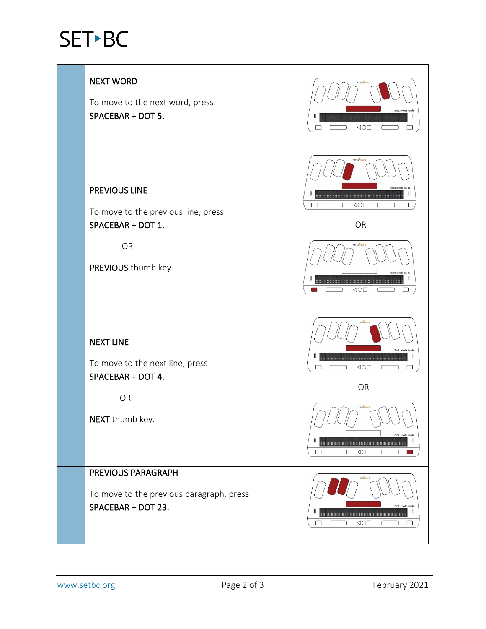## SET-BC